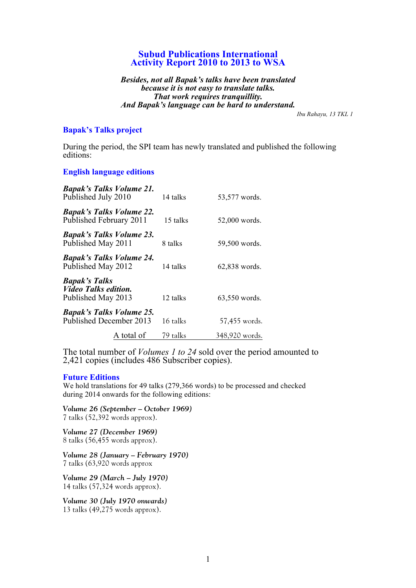# **Subud Publications International Activity Report 2010 to 2013 to WSA**

*Besides, not all Bapak's talks have been translated because it is not easy to translate talks. That work requires tranquillity. And Bapak's language can be hard to understand.*

*Ibu Rahayu, 13 TKL 1*

## **Bapak's Talks project**

During the period, the SPI team has newly translated and published the following editions:

### **English language editions**

| <b>Bapak's Talks Volume 21.</b><br>Published July 2010                    | 14 talks | 53,577 words.  |
|---------------------------------------------------------------------------|----------|----------------|
| <b>Bapak's Talks Volume 22.</b><br>Published February 2011                | 15 talks | 52,000 words.  |
| <b>Bapak's Talks Volume 23.</b><br>Published May 2011                     | 8 talks  | 59,500 words.  |
| <b>Bapak's Talks Volume 24.</b><br>Published May 2012                     | 14 talks | 62,838 words.  |
| <b>Bapak's Talks</b><br><i>Video Talks edition.</i><br>Published May 2013 | 12 talks | 63,550 words.  |
| <b>Bapak's Talks Volume 25.</b><br>Published December 2013                | 16 talks | 57,455 words.  |
| A total of                                                                | 79 talks | 348,920 words. |

The total number of *Volumes 1 to 24* sold over the period amounted to 2,421 copies (includes 486 Subscriber copies).

#### **Future Editions**

We hold translations for 49 talks (279,366 words) to be processed and checked during 2014 onwards for the following editions:

*Volume 26 (September – October 1969)* 7 talks (52,392 words approx).

*Volume 27 (December 1969)* 8 talks (56,455 words approx).

*Volume 28 (January – February 1970)* 7 talks (63,920 words approx

*Volume 29 (March – July 1970)* 14 talks (57,324 words approx).

*Volume 30 (July 1970 onwards)* 13 talks (49,275 words approx).